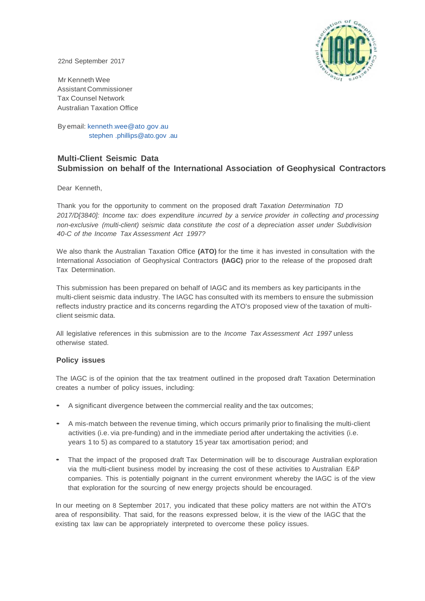

22nd September 2017

Mr Kenneth Wee Assistant Commissioner Tax Counsel Network Australian Taxation Office

By email: kenneth.wee@ato .gov.au stephen [.phillips@ato.gov](mailto:.phillips@ato.gov) .au

# **Multi-Client Seismic Data Submission on behalf of the International Association of Geophysical Contractors**

Dear Kenneth,

Thank you for the opportunity to comment on the proposed draft *Taxation Determination TD 2017/D[3840]: Income tax: does expenditure incurred by* a *service provider in collecting and processing non-exclusive (multi-client) seismic data constitute the cost of* a *depreciation asset under Subdivision 40-C of the Income Tax Assessment Act 1997?*

We also thank the Australian Taxation Office **(ATO)** for the time it has invested in consultation with the International Association of Geophysical Contractors **(IAGC)** prior to the release of the proposed draft Tax Determination.

This submission has been prepared on behalf of IAGC and its members as key participants in the multi-client seismic data industry. The IAGC has consulted with its members to ensure the submission reflects industry practice and its concerns regarding the ATO's proposed view of the taxation of multiclient seismic data.

All legislative references in this submission are to the *Income Tax Assessment Act 1997* unless otherwise stated.

# **Policy issues**

The IAGC is of the opinion that the tax treatment outlined in the proposed draft Taxation Determination creates a number of policy issues, including:

- <sup>A</sup> significant divergence between the commercial reality and the tax outcomes;
- <sup>A</sup> mis-match between the revenue timing, which occurs primarily prior to finalising the multi-client activities (i.e. via pre-funding) and in the immediate period after undertaking the activities (i.e. years 1 to 5) as compared to a statutory 15 year tax amortisation period; and
- That the impact of the proposed draft Tax Determination will be to discourage Australian exploration via the multi-client business model by increasing the cost of these activities to Australian E&P companies. This is potentially poignant in the current environment whereby the IAGC is of the view that exploration for the sourcing of new energy projects should be encouraged.

In our meeting on 8 September 2017, you indicated that these policy matters are not within the ATO's area of responsibility. That said, for the reasons expressed below, it is the view of the IAGC that the existing tax law can be appropriately interpreted to overcome these policy issues.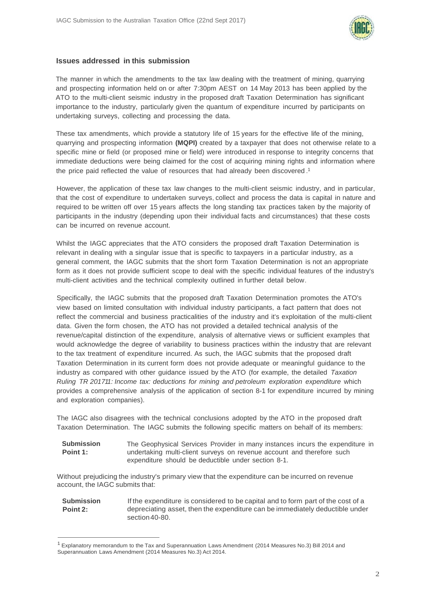

## **Issues addressed in this submission**

The manner in which the amendments to the tax law dealing with the treatment of mining, quarrying and prospecting information held on or after 7:30pm AEST on 14 May 2013 has been applied by the ATO to the multi-client seismic industry in the proposed draft Taxation Determination has significant importance to the industry, particularly given the quantum of expenditure incurred by participants on undertaking surveys, collecting and processing the data.

These tax amendments, which provide a statutory life of 15 years for the effective life of the mining, quarrying and prospecting information **(MQPI)** created by a taxpayer that does not otherwise relate to a specific mine or field (or proposed mine or field) were introduced in response to integrity concerns that immediate deductions were being claimed for the cost of acquiring mining rights and information where the price paid reflected the value of resources that had already been discovered . 1

However, the application of these tax law changes to the multi-client seismic industry, and in particular, that the cost of expenditure to undertaken surveys, collect and process the data is capital in nature and required to be written off over 15 years affects the long standing tax practices taken by the majority of participants in the industry (depending upon their individual facts and circumstances) that these costs can be incurred on revenue account.

Whilst the IAGC appreciates that the ATO considers the proposed draft Taxation Determination is relevant in dealing with a singular issue that is specific to taxpayers in a particular industry, as a general comment, the IAGC submits that the short form Taxation Determination is not an appropriate form as it does not provide sufficient scope to deal with the specific individual features of the industry's multi-client activities and the technical complexity outlined in further detail below.

Specifically, the IAGC submits that the proposed draft Taxation Determination promotes the ATO's view based on limited consultation with individual industry participants, a fact pattern that does not reflect the commercial and business practicalities of the industry and it's exploitation of the multi-client data. Given the form chosen, the ATO has not provided a detailed technical analysis of the revenue/capital distinction of the expenditure, analysis of alternative views or sufficient examples that would acknowledge the degree of variability to business practices within the industry that are relevant to the tax treatment of expenditure incurred. As such, the IAGC submits that the proposed draft Taxation Determination in its current form does not provide adequate or meaningful guidance to the industry as compared with other guidance issued by the ATO (for example, the detailed *Taxation Ruling TR 201711: Income tax: deductions for mining and petroleum exploration expenditure* which provides a comprehensive analysis of the application of section 8-1 for expenditure incurred by mining and exploration companies).

The IAGC also disagrees with the technical conclusions adopted by the ATO in the proposed draft Taxation Determination. The IAGC submits the following specific matters on behalf of its members:

**Submission Point 1:** The Geophysical Services Provider in many instances incurs the expenditure in undertaking multi-client surveys on revenue account and therefore such expenditure should be deductible under section 8-1.

Without prejudicing the industry's primary view that the expenditure can be incurred on revenue account, the IAGC submits that:

**Submission Point 2:** If the expenditure is considered to be capital and to form part of the cost of a depreciating asset, then the expenditure can be immediately deductible under section 40-80.

<sup>1</sup>Explanatory memorandum to the Tax and Superannuation Laws Amendment (2014 Measures No.3) Bill 2014 and Superannuation Laws Amendment (2014 Measures No.3) Act 2014.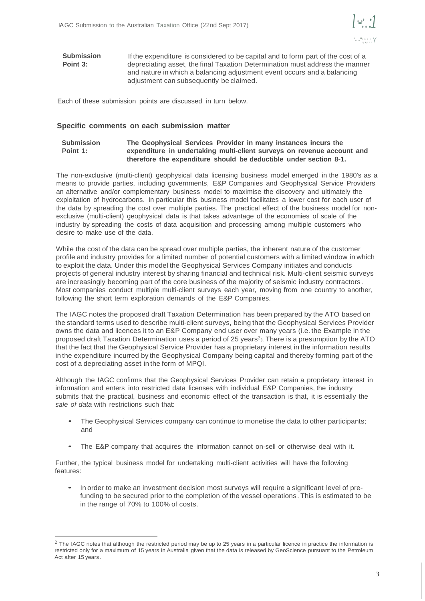

**Submission Point 3:** If the expenditure is considered to be capital and to form part of the cost of a depreciating asset, the final Taxation Determination must address the manner and nature in which a balancing adjustment event occurs and a balancing adjustment can subsequently be claimed.

Each of these submission points are discussed in turn below.

#### **Specific comments on each submission matter**

#### **Submission Point 1: The Geophysical Services Provider in many instances incurs the expenditure in undertaking multi-client surveys on revenue account and therefore the expenditure should be deductible under section 8-1.**

The non-exclusive (multi-client) geophysical data licensing business model emerged in the 1980's as a means to provide parties, including governments, E&P Companies and Geophysical Service Providers an alternative and/or complementary business model to maximise the discovery and ultimately the exploitation of hydrocarbons. In particular this business model facilitates a lower cost for each user of the data by spreading the cost over multiple parties. The practical effect of the business model for nonexclusive (multi-client) geophysical data is that takes advantage of the economies of scale of the industry by spreading the costs of data acquisition and processing among multiple customers who desire to make use of the data.

While the cost of the data can be spread over multiple parties, the inherent nature of the customer profile and industry provides for a limited number of potential customers with a limited window in which to exploit the data. Under this model the Geophysical Services Company initiates and conducts projects of general industry interest by sharing financial and technical risk. Multi-client seismic surveys are increasingly becoming part of the core business of the majority of seismic industry contractors. Most companies conduct multiple multi-client surveys each year, moving from one country to another, following the short term exploration demands of the E&P Companies.

The IAGC notes the proposed draft Taxation Determination has been prepared by the ATO based on the standard terms used to describe multi-client surveys, being that the Geophysical Services Provider owns the data and licences it to an E&P Company end user over many years (i.e. the Example in the proposed draft Taxation Determination uses a period of 25 years<sup>2</sup>). There is a presumption by the ATO that the fact that the Geophysical Service Provider has a proprietary interest in the information results in the expenditure incurred by the Geophysical Company being capital and thereby forming part of the cost of a depreciating asset in the form of MPQI.

Although the IAGC confirms that the Geophysical Services Provider can retain a proprietary interest in information and enters into restricted data licenses with individual E&P Companies, the industry submits that the practical, business and economic effect of the transaction is that, it is essentially the *sale of data* with restrictions such that:

- The Geophysical Services company can continue to monetise the data to other participants; and
- The E&P company that acquires the information cannot on-sell or otherwise deal with it.

Further, the typical business model for undertaking multi-client activities will have the following features:

• In order to make an investment decision most surveys will require <sup>a</sup> significant level of prefunding to be secured prior to the completion of the vessel operations . This is estimated to be in the range of 70% to 100% of costs.

 $2$  The IAGC notes that although the restricted period may be up to 25 years in a particular licence in practice the information is restricted only for a maximum of 15 years in Australia given that the data is released by GeoScience pursuant to the Petroleum Act after 15 years.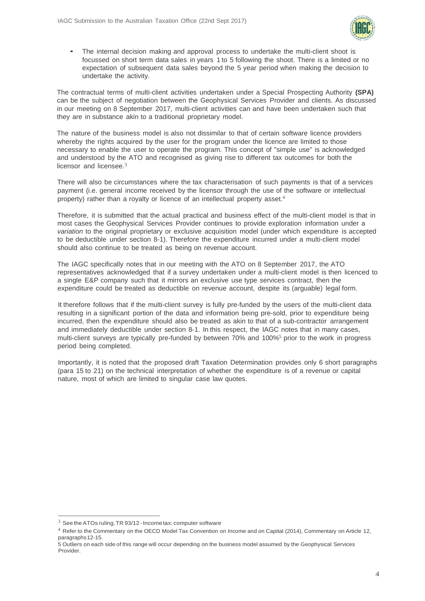

The internal decision making and approval process to undertake the multi-client shoot is focussed on short term data sales in years 1 to 5 following the shoot. There is a limited or no expectation of subsequent data sales beyond the 5 year period when making the decision to undertake the activity.

The contractual terms of multi-client activities undertaken under a Special Prospecting Authority **(SPA)** can be the subject of negotiation between the Geophysical Services Provider and clients. As discussed in our meeting on 8 September 2017, multi-client activities can and have been undertaken such that they are in substance akin to a traditional proprietary model.

The nature of the business model is also not dissimilar to that of certain software licence providers whereby the rights acquired by the user for the program under the licence are limited to those necessary to enable the user to operate the program. This concept of "simple use" is acknowledged and understood by the ATO and recognised as giving rise to different tax outcomes for both the licensor and licensee.3

There will also be circumstances where the tax characterisation of such payments is that of a services payment (i.e. general income received by the licensor through the use of the software or intellectual property) rather than a royalty or licence of an intellectual property asset.<sup>4</sup>

Therefore, it is submitted that the actual practical and business effect of the multi-client model is that in most cases the Geophysical Services Provider continues to provide exploration information under a *variation* to the original proprietary or exclusive acquisition model (under which expenditure is accepted to be deductible under section 8-1). Therefore the expenditure incurred under a multi-client model should also continue to be treated as being on revenue account.

The IAGC specifically notes that in our meeting with the ATO on 8 September 2017, the ATO representatives acknowledged that if a survey undertaken under a multi-client model is then licenced to a single E&P company such that it mirrors an exclusive use type services contract, then the expenditure could be treated as deductible on revenue account, despite its (arguable) legal form.

It therefore follows that if the multi-client survey is fully pre-funded by the users of the multi-client data resulting in a significant portion of the data and information being pre-sold, prior to expenditure being incurred, then the expenditure should also be treated as akin to that of a sub-contractor arrangement and immediately deductible under section 8-1. In this respect, the IAGC notes that in many cases, multi-client surveys are typically pre-funded by between 70% and 100%5 prior to the work in progress period being completed.

Importantly, it is noted that the proposed draft Taxation Determination provides only 6 short paragraphs (para 15 to 21) on the technical interpretation of whether the expenditure is of a revenue or capital nature, most of which are limited to singular case law quotes.

 $3$  See the ATOs ruling, TR 93/12 - Income tax: computer software

<sup>4</sup> Refer to the Commentary on the OECD Model Tax Convention on Income and on Capital (2014), Commentary on Article 12, paragraphs12-15.

<sup>5</sup> Outliers on each side of this range will occur depending on the business model assumed by the Geophysical Services Provider.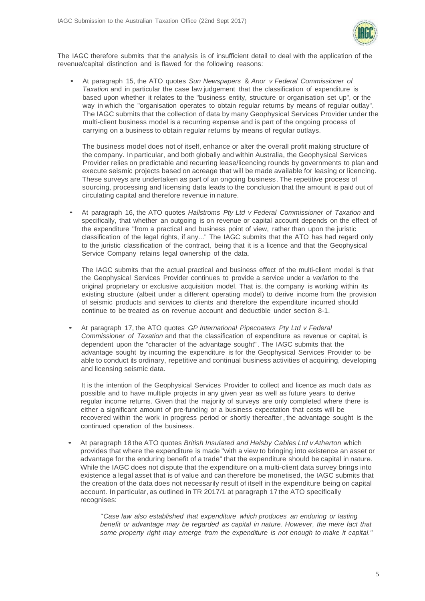

The IAGC therefore submits that the analysis is of insufficient detail to deal with the application of the revenue/capital distinction and is flawed for the following reasons:

• At paragraph 15, the ATO quotes *Sun Newspapers* & *Anor <sup>v</sup> Federal Commissioner of Taxation* and in particular the case law judgement that the classification of expenditure is based upon whether it relates to the "business entity, structure or organisation set up", or the way in which the "organisation operates to obtain regular returns by means of regular outlay". The IAGC submits that the collection of data by many Geophysical Services Provider under the multi-client business model is a recurring expense and is part of the ongoing process of carrying on a business to obtain regular returns by means of regular outlays.

The business model does not of itself, enhance or alter the overall profit making structure of the company. In particular, and both globally and within Australia, the Geophysical Services Provider relies on predictable and recurring lease/licencing rounds by governments to plan and execute seismic projects based on acreage that will be made available for leasing or licencing. These surveys are undertaken as part of an ongoing business. The repetitive process of sourcing, processing and licensing data leads to the conclusion that the amount is paid out of circulating capital and therefore revenue in nature.

• At paragraph 16, the ATO quotes *Hallstroms Pty Ltd <sup>v</sup> Federal Commissioner of Taxation* and specifically, that whether an outgoing is on revenue or capital account depends on the effect of the expenditure "from a practical and business point of view, rather than upon the juristic classification of the legal rights, if any..." The IAGC submits that the ATO has had regard only to the juristic classification of the contract, being that it is a licence and that the Geophysical Service Company retains legal ownership of the data.

The IAGC submits that the actual practical and business effect of the multi-client model is that the Geophysical Services Provider continues to provide a service under a *variation* to the original proprietary or exclusive acquisition model. That is, the company is working within its existing structure (albeit under a different operating model) to derive income from the provision of seismic products and services to clients and therefore the expenditure incurred should continue to be treated as on revenue account and deductible under section 8-1.

• At paragraph 17, the ATO quotes *GP International Pipecoaters Pty Ltd <sup>v</sup> Federal Commissioner of Taxation* and that the classification of expenditure as revenue or capital, is dependent upon the "character of the advantage sought". The IAGC submits that the advantage sought by incurring the expenditure is for the Geophysical Services Provider to be able to conduct its ordinary, repetitive and continual business activities of acquiring, developing and licensing seismic data.

It is the intention of the Geophysical Services Provider to collect and licence as much data as possible and to have multiple projects in any given year as well as future years to derive regular income returns. Given that the majority of surveys are only completed where there is either a significant amount of pre-funding or a business expectation that costs will be recovered within the work in progress period or shortly thereafter , the advantage sought is the continued operation of the business .

• At paragraph <sup>18</sup> the ATO quotes *British Insulated and Helsby Cables Ltd <sup>v</sup> Atherton* which provides that where the expenditure is made "with a view to bringing into existence an asset or advantage for the enduring benefit of a trade" that the expenditure should be capital in nature. While the IAGC does not dispute that the expenditure on a multi-client data survey brings into existence a legal asset that is of value and can therefore be monetised, the IAGC submits that the creation of the data does not necessarily result of itself in the expenditure being on capital account. In particular, as outlined in TR 2017/1 at paragraph 17 the ATO specifically recognises:

> *"Case law also established that expenditure which produces an enduring or lasting benefit or advantage may be regarded as capital in nature. However, the mere fact that some property right may emerge from the expenditure is not enough to make it capital."*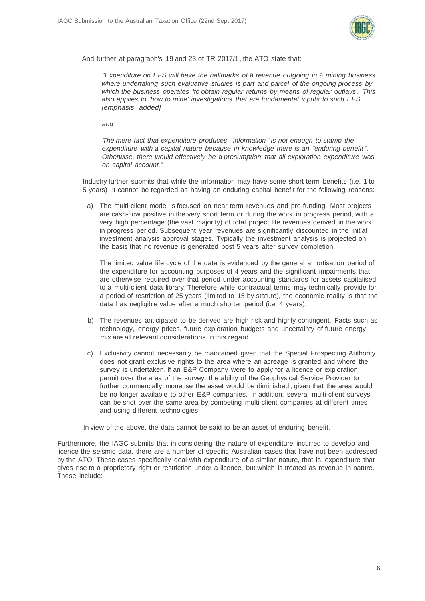

And further at paragraph's 19 and 23 of TR 2017/1, the ATO state that:

*"Expenditure on EFS will have the hallmarks of* a *revenue outgoing in* a *mining business where undertaking such evaluative studies is part and parcel of the ongoing process by which the business operates 'to obtain regular returns by means of regular outlays'. This also applies to 'how to mine' investigations that are fundamental inputs to such EFS. [emphasis added]*

*and*

*The mere fact that expenditure produces "information " is not enough to stamp the expenditure with* a *capital nature because in knowledge there is an "enduring benefit". Otherwise, there would effectively be* a *presumption that all exploration expenditure* was *on capital account."*

Industry further submits that while the information may have some short term benefits (i.e. 1 to 5 years), it cannot be regarded as having an enduring capital benefit for the following reasons:

a) The multi-client model is focused on near term revenues and pre-funding. Most projects are cash-flow positive in the very short term or during the work in progress period, with a very high percentage (the vast majority) of total project life revenues derived in the work in progress period. Subsequent year revenues are significantly discounted in the initial investment analysis approval stages. Typically the investment analysis is projected on the basis that no revenue is generated post 5 years after survey completion.

The limited value life cycle of the data is evidenced by the general amortisation period of the expenditure for accounting purposes of 4 years and the significant impairments that are otherwise required over that period under accounting standards for assets capitalised to a multi-client data library. Therefore while contractual terms may technically provide for a period of restriction of 25 years (limited to 15 by statute), the economic reality is that the data has negligible value after a much shorter period (i.e. 4 years).

- b) The revenues anticipated to be derived are high risk and highly contingent. Facts such as technology, energy prices, future exploration budgets and uncertainty of future energy mix are all relevant considerations in this regard.
- c) Exclusivity cannot necessarily be maintained given that the Special Prospecting Authority does not grant exclusive rights to the area where an acreage is granted and where the survey is undertaken. If an E&P Company were to apply for a licence or exploration permit over the area of the survey, the ability of the Geophysical Service Provider to further commercially monetise the asset would be diminished , given that the area would be no longer available to other E&P companies. In addition, several multi-client surveys can be shot over the same area by competing multi-client companies at different times and using different technologies

In view of the above, the data cannot be said to be an asset of enduring benefit.

Furthermore, the IAGC submits that in considering the nature of expenditure incurred to develop and licence the seismic data, there are a number of specific Australian cases that have not been addressed by the ATO. These cases specifically deal with expenditure of a similar nature, that is, expenditure that gives rise to a proprietary right or restriction under a licence, but which is treated as revenue in nature. These include: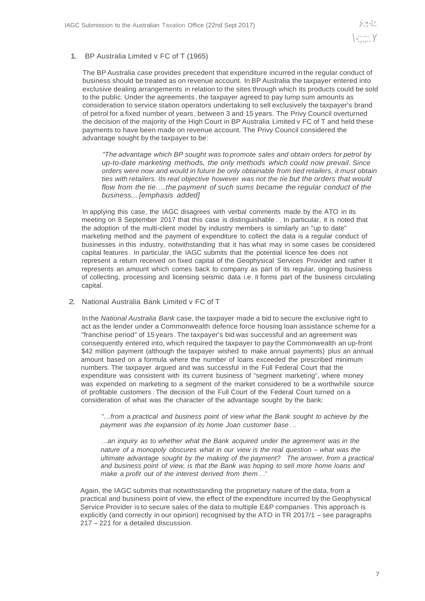### 1. BP Australia Limited v FC of T (1965)

The BP Australia case provides precedent that expenditure incurred in the regular conduct of business should be treated as on revenue account. In BP Australia the taxpayer entered into exclusive dealing arrangements in relation to the sites through which its products could be sold to the public. Under the agreements , the taxpayer agreed to pay lump sum amounts as consideration to service station operators undertaking to sell exclusively the taxpayer's brand of petrol for a fixed number of years, between 3 and 15 years. The Privy Council overturned the decision of the majority of the High Court in BP Australia Limited v FC of T and held these payments to have been made on revenue account. The Privy Council considered the advantage sought by the taxpayer to be:

*"The advantage which BP sought was to promote sales and obtain orders for petrol by up-to-date marketing methods, the only methods which could now prevail. Since orders were now and would in future be only obtainable from tied retailers, it must obtain ties with retailers. Its real objective however was not the tie but the orders that would flow from the tie. ...the payment of such sums became the regular conduct of the business... [emphasis added]*

In applying this case, the IAGC disagrees with verbal comments made by the ATO in its meeting on 8 September 2017 that this case is distinguishable . . In particular, it is noted that the adoption of the multi-client model by industry members is similarly an "up to date" marketing method and the payment of expenditure to collect the data is a regular conduct of businesses in this industry, notwithstanding that it has what may in some cases be considered capital features . In particular, the IAGC submits that the potential licence fee does not represent a return received on fixed capital of the Geophysical Services Provider and rather it represents an amount which comes back to company as part of its regular, ongoing business of collecting, processing and licensing seismic data i.e. it forms part of the business circulating capital.

2. National Australia Bank Limited v FC of T

In the *National Australia Bank* case, the taxpayer made a bid to secure the exclusive right to act as the lender under a Commonwealth defence force housing loan assistance scheme for a "franchise period" of 15 years. The taxpayer's bid was successful and an agreement was consequently entered into, which required the taxpayer to pay the Commonwealth an up-front \$42 million payment (although the taxpayer wished to make annual payments) plus an annual amount based on a formula where the number of loans exceeded the prescribed minimum numbers. The taxpayer argued and was successful in the Full Federal Court that the expenditure was consistent with its current business of "segment marketing", where money was expended on marketing to a segment of the market considered to be a worthwhile source of profitable customers . The decision of the Full Court of the Federal Court turned on a consideration of what was the character of the advantage sought by the bank:

*". ..from* a *practical and business point of view what the Bank sought to achieve by the payment was the expansion of its home Joan customer base . ..*

..*.an inquiry as to whether what the Bank acquired under the agreement was in the nature of* <sup>a</sup> *monopoly obscures what in our view is the real question* - *what was the ultimate advantage sought by the making of the payment? The answer, from a practical and business point of view, is that the Bank was hoping to sell more home loans and make a profit out of the interest derived from them ..*."

Again, the IAGC submits that notwithstanding the proprietary nature of the data, from a practical and business point of view, the effect of the expenditure incurred by the Geophysical Service Provider is to secure sales of the data to multiple E&P companies . This approach is explicitly (and correctly in our opinion) recognised by the ATO in TR 2017/1 - see paragraphs <sup>217</sup> -221 for <sup>a</sup> detailed discussion.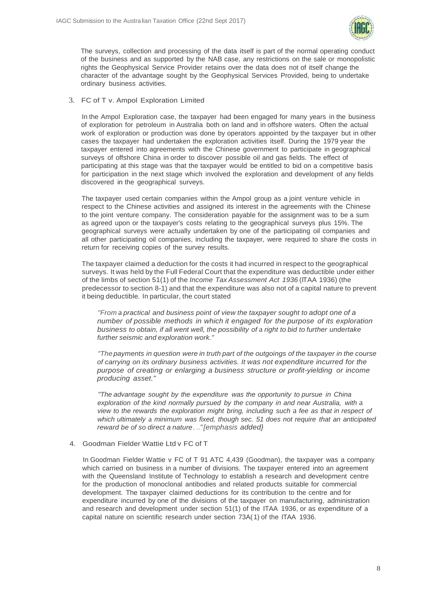

The surveys, collection and processing of the data itself is part of the normal operating conduct of the business and as supported by the NAB case, any restrictions on the sale or monopolistic rights the Geophysical Service Provider retains over the data does not of itself change the character of the advantage sought by the Geophysical Services Provided, being to undertake ordinary business activities.

### 3. FC of T v. Ampol Exploration Limited

In the Ampol Exploration case, the taxpayer had been engaged for many years in the business of exploration for petroleum in Australia both on land and in offshore waters. Often the actual work of exploration or production was done by operators appointed by the taxpayer but in other cases the taxpayer had undertaken the exploration activities itself. During the 1979 year the taxpayer entered into agreements with the Chinese government to participate in geographical surveys of offshore China in order to discover possible oil and gas fields. The effect of participating at this stage was that the taxpayer would be entitled to bid on a competitive basis for participation in the next stage which involved the exploration and development of any fields discovered in the geographical surveys.

The taxpayer used certain companies within the Ampol group as a joint venture vehicle in respect to the Chinese activities and assigned its interest in the agreements with the Chinese to the joint venture company. The consideration payable for the assignment was to be a sum as agreed upon or the taxpayer's costs relating to the geographical surveys plus 15%. The geographical surveys were actually undertaken by one of the participating oil companies and all other participating oil companies, including the taxpayer, were required to share the costs in return for receiving copies of the survey results.

The taxpayer claimed a deduction for the costs it had incurred in respect to the geographical surveys. It was held by the Full Federal Court that the expenditure was deductible under either of the limbs of section 51(1) of the *Income Tax Assessment Act 1936* (ITAA 1936) (the predecessor to section 8-1) and that the expenditure was also not of a capital nature to prevent it being deductible. In particular, the court stated

*"From* a *practical and business point of view the taxpayer sought to adopt one of a number of possible methods in which it engaged for the purpose of its exploration business to obtain, if all went well, the possibility of* a *right to bid to further undertake further seismic and exploration work."*

*"The payments in question were in truth part of the outgoings of the taxpayer in the course of carrying on its ordinary business activities. It was not expenditure incurred for the purpose of creating or enlarging a business structure or profit-yielding or income producing asset."*

*"The advantage sought by the expenditure was the opportunity to pursue in China exploration of the kind normally pursued by the company in and near Australia, with* a *view to the rewards the exploration might bring, including such* a *fee as that in respect of which ultimately* a *minimum was fixed, though sec. 51 does not require that an anticipated reward be of so direct a nature.*..*"[emphasis added}*

### 4. Goodman Fielder Wattie Ltd v FC of T

In Goodman Fielder Wattie v FC of T 91 ATC 4,439 (Goodman), the taxpayer was a company which carried on business in a number of divisions. The taxpayer entered into an agreement with the Queensland Institute of Technology to establish a research and development centre for the production of monoclonal antibodies and related products suitable for commercial development. The taxpayer claimed deductions for its contribution to the centre and for expenditure incurred by one of the divisions of the taxpayer on manufacturing, administration and research and development under section 51(1) of the ITAA 1936, or as expenditure of a capital nature on scientific research under section 73A(1) of the ITAA 1936.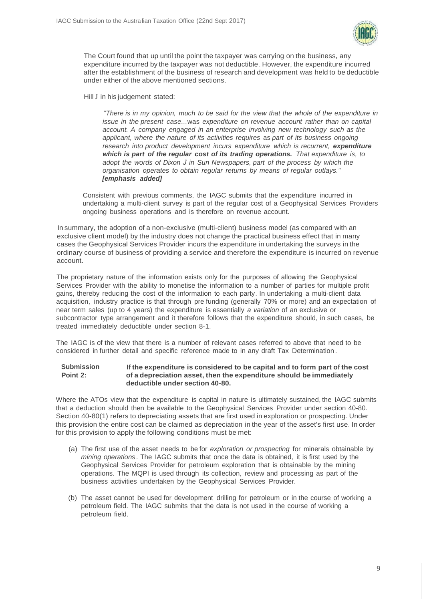

The Court found that up until the point the taxpayer was carrying on the business, any expenditure incurred by the taxpayer was not deductible. However, the expenditure incurred after the establishment of the business of research and development was held to be deductible under either of the above mentioned sections.

HillJ in his judgement stated:

*"There is in my opinion, much to be said for the view that the whole of the expenditure in issue in the present case...*was *expenditure on revenue account rather than on capital account. A company engaged in an enterprise involving new technology such as the applicant, where the nature of its activities requires* as *part of its business ongoing research into product development incurs expenditure which is recurrent, expenditure which is part of the regular cost of its trading operations. That expenditure is, to adopt the words of Dixon J in Sun Newspapers, part of the process by which the organisation operates to obtain regular returns by means of regular outlays." [emphasis added]*

Consistent with previous comments, the IAGC submits that the expenditure incurred in undertaking a multi-client survey is part of the regular cost of a Geophysical Services Providers ongoing business operations and is therefore on revenue account.

In summary, the adoption of a non-exclusive (multi-client) business model (as compared with an exclusive client model) by the industry does not change the practical business effect that in many cases the Geophysical Services Provider incurs the expenditure in undertaking the surveys in the ordinary course of business of providing a service and therefore the expenditure is incurred on revenue account.

The proprietary nature of the information exists only for the purposes of allowing the Geophysical Services Provider with the ability to monetise the information to a number of parties for multiple profit gains, thereby reducing the cost of the information to each party. In undertaking a multi-client data acquisition, industry practice is that through pre funding (generally 70% or more) and an expectation of near term sales (up to 4 years) the expenditure is essentially *a variation* of an exclusive or subcontractor type arrangement and it therefore follows that the expenditure should, in such cases, be treated immediately deductible under section 8-1.

The IAGC is of the view that there is a number of relevant cases referred to above that need to be considered in further detail and specific reference made to in any draft Tax Determination .

#### **Submission Point 2: If the expenditure is considered to be capital and to form part of the cost of a depreciation asset, then the expenditure should be immediately deductible under section 40-80.**

Where the ATOs view that the expenditure is capital in nature is ultimately sustained, the IAGC submits that a deduction should then be available to the Geophysical Services Provider under section 40-80. Section 40-80(1) refers to depreciating assets that are first used in exploration or prospecting. Under this provision the entire cost can be claimed as depreciation in the year of the asset's first use. In order for this provision to apply the following conditions must be met:

- (a) The first use of the asset needs to be for *exploration or prospecting* for minerals obtainable by *mining operations .* The IAGC submits that once the data is obtained, it is first used by the Geophysical Services Provider for petroleum exploration that is obtainable by the mining operations. The MQPI is used through its collection, review and processing as part of the business activities undertaken by the Geophysical Services Provider.
- (b) The asset cannot be used for development drilling for petroleum or in the course of working a petroleum field. The IAGC submits that the data is not used in the course of working a petroleum field.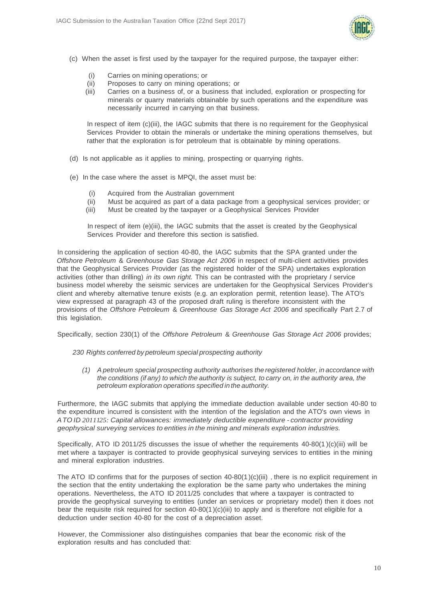

- (c) When the asset is first used by the taxpayer for the required purpose, the taxpayer either:
	- (i) Carries on mining operations; or
	- (ii) Proposes to carry on mining operations; or
	- (iii) Carries on a business of, or a business that included, exploration or prospecting for minerals or quarry materials obtainable by such operations and the expenditure was necessarily incurred in carrying on that business.

In respect of item (c)(iii), the IAGC submits that there is no requirement for the Geophysical Services Provider to obtain the minerals or undertake the mining operations themselves, but rather that the exploration is for petroleum that is obtainable by mining operations.

- (d) Is not applicable as it applies to mining, prospecting or quarrying rights.
- (e) In the case where the asset is MPQI, the asset must be:
	- (i) Acquired from the Australian government
	- (ii) Must be acquired as part of a data package from a geophysical services provider; or
	- (iii) Must be created by the taxpayer or a Geophysical Services Provider

In respect of item (e)(iii), the IAGC submits that the asset is created by the Geophysical Services Provider and therefore this section is satisfied.

In considering the application of section 40-80, the IAGC submits that the SPA granted under the *Offshore Petroleum* & *Greenhouse Gas Storage Act 2006* in respect of multi-client activities provides that the Geophysical Services Provider (as the registered holder of the SPA) undertakes exploration activities (other than drilling) *in its own right.* This can be contrasted with the proprietary *I* service business model whereby the seismic services are undertaken for the Geophysical Services Provider's client and whereby alternative tenure exists (e.g. an exploration permit, retention lease). The ATO's view expressed at paragraph 43 of the proposed draft ruling is therefore inconsistent with the provisions of the *Offshore Petroleum* & *Greenhouse Gas Storage Act 2006* and specifically Part 2.7 of this legislation.

Specifically, section 230(1) of the *Offshore Petroleum* & *Greenhouse Gas Storage Act 2006* provides;

*230 Rights conferred by petroleum special prospecting authority*

*(1) A petroleum special prospecting authority authorises the registered holder, in accordance with the conditions (if any) to which the authority is subject, to carry on, in the authority area, the petroleum exploration operations specified in the authority.*

Furthermore, the IAGC submits that applying the immediate deduction available under section 40-80 to the expenditure incurred is consistent with the intention of the legislation and the ATO's own views in *ATO ID 2011125: Capital allowances: immediately deductible expenditure* - *contractor providing geophysical surveying services to entities in the mining and minerals exploration industries.*

Specifically, ATO ID 2011/25 discusses the issue of whether the requirements 40-80(1 )(c)(iii) will be met where a taxpayer is contracted to provide geophysical surveying services to entities in the mining and mineral exploration industries.

The ATO ID confirms that for the purposes of section  $40-80(1)(c)(iii)$ , there is no explicit requirement in the section that the entity undertaking the exploration be the same party who undertakes the mining operations. Nevertheless, the ATO ID 2011/25 concludes that where a taxpayer is contracted to provide the geophysical surveying to entities (under an services or proprietary model) then it does not bear the requisite risk required for section 40-80(1)(c)(iii) to apply and is therefore not eligible for a deduction under section 40-80 for the cost of a depreciation asset.

However, the Commissioner also distinguishes companies that bear the economic risk of the exploration results and has concluded that: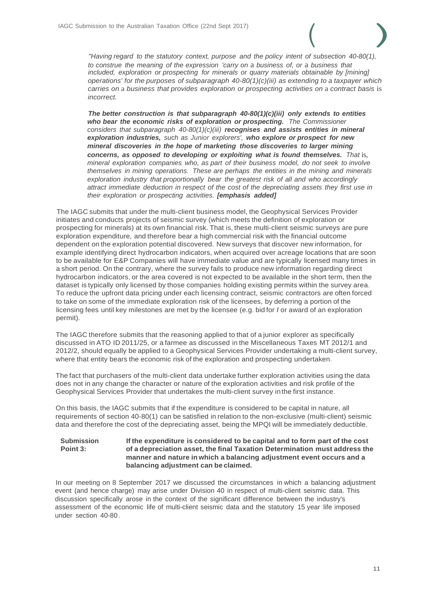

*"Having regard to the statutory context, purpose and the policy intent of subsection 40-80(1), to construe the meaning of the expression 'carry on* a *business of, or* a *business that included, exploration or prospecting for minerals or quarry materials obtainable by [mining] operations' for the purposes of subparagraph 40-80(1)(c)(iii) as extending to* a *taxpayer which carries on* a *business that provides exploration or prospecting activities on* a *contract basis* is *incorrect.*

*The better construction is that subparagraph 40-80(1)(c)(iii) only extends to entities who bear the economic risks of exploration or prospecting. The Commissioner considers that subparagraph 40-80(1)(c)(iii) recognises and assists entities in mineral exploration industries, such as Junior explorers', who explore or prospect for new mineral discoveries in the hope of marketing those discoveries to larger mining concerns, as opposed to developing or exploiting what is found themselves. That* is, *mineral exploration companies who, as part of their business model, do not seek to involve themselves in mining operations. These are perhaps the entities in the mining and minerals exploration industry that proportionally bear the greatest risk of all and who accordingly attract immediate deduction in respect of the cost of the depreciating assets they first use in their exploration or prospecting activities. [emphasis added]*

The IAGC submits that under the multi-client business model, the Geophysical Services Provider initiates and conducts projects of seismic survey (which meets the definition of exploration or prospecting for minerals) at its own financial risk. That is, these multi-client seismic surveys are pure exploration expenditure, and therefore bear a high commercial risk with the financial outcome dependent on the exploration potential discovered. New surveys that discover new information, for example identifying direct hydrocarbon indicators, when acquired over acreage locations that are soon to be available for E&P Companies will have immediate value and are typically licensed many times in a short period. On the contrary, where the survey fails to produce new information regarding direct hydrocarbon indicators, or the area covered is not expected to be available in the short term, then the dataset is typically only licensed by those companies holding existing permits within the survey area. To reduce the upfront data pricing under each licensing contract, seismic contractors are often forced to take on some of the immediate exploration risk of the licensees, by deferring a portion of the licensing fees until key milestones are met by the licensee (e.g. bid for *I* or award of an exploration permit).

The IAGC therefore submits that the reasoning applied to that of a junior explorer as specifically discussed in ATO ID 2011/25, or a farmee as discussed in the Miscellaneous Taxes MT 2012/1 and 2012/2, should equally be applied to a Geophysical Services Provider undertaking a multi-client survey, where that entity bears the economic risk of the exploration and prospecting undertaken.

The fact that purchasers of the multi-client data undertake further exploration activities using the data does not in any change the character or nature of the exploration activities and risk profile of the Geophysical Services Provider that undertakes the multi-client survey in the first instance.

On this basis, the IAGC submits that if the expenditure is considered to be capital in nature, all requirements of section 40-80(1) can be satisfied in relation to the non-exclusive (multi-client) seismic data and therefore the cost of the depreciating asset, being the MPQI will be immediately deductible.

#### **Submission Point 3: If the expenditure is considered to be capital and to form part of the cost of a depreciation asset, the final Taxation Determination must address the manner and nature in which a balancing adjustment event occurs and a balancing adjustment can be claimed.**

In our meeting on 8 September 2017 we discussed the circumstances in which a balancing adjustment event (and hence charge) may arise under Division 40 in respect of multi-client seismic data. This discussion specifically arose in the context of the significant difference between the industry's assessment of the economic life of multi-client seismic data and the statutory 15 year life imposed under section 40-80 .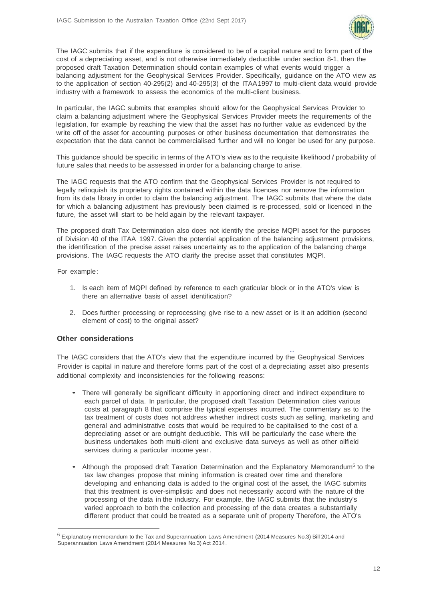

The IAGC submits that if the expenditure is considered to be of a capital nature and to form part of the cost of a depreciating asset, and is not otherwise immediately deductible under section 8-1, then the proposed draft Taxation Determination should contain examples of what events would trigger a balancing adjustment for the Geophysical Services Provider. Specifically, guidance on the ATO view as to the application of section 40-295(2) and 40-295(3) of the ITAA1997 to multi-client data would provide industry with a framework to assess the economics of the multi-client business.

In particular, the IAGC submits that examples should allow for the Geophysical Services Provider to claim a balancing adjustment where the Geophysical Services Provider meets the requirements of the legislation, for example by reaching the view that the asset has no further value as evidenced by the write off of the asset for accounting purposes or other business documentation that demonstrates the expectation that the data cannot be commercialised further and will no longer be used for any purpose.

This guidance should be specific in terms of the ATO's view as to the requisite likelihood *I* probability of future sales that needs to be assessed in order for a balancing charge to arise.

The IAGC requests that the ATO confirm that the Geophysical Services Provider is not required to legally relinquish its proprietary rights contained within the data licences nor remove the information from its data library in order to claim the balancing adjustment. The IAGC submits that where the data for which a balancing adjustment has previously been claimed is re-processed, sold or licenced in the future, the asset will start to be held again by the relevant taxpayer.

The proposed draft Tax Determination also does not identify the precise MQPI asset for the purposes of Division 40 of the ITAA 1997. Given the potential application of the balancing adjustment provisions, the identification of the precise asset raises uncertainty as to the application of the balancing charge provisions. The IAGC requests the ATO clarify the precise asset that constitutes MQPI.

For example:

- 1. Is each item of MQPI defined by reference to each graticular block or in the ATO's view is there an alternative basis of asset identification?
- 2. Does further processing or reprocessing give rise to a new asset or is it an addition (second element of cost) to the original asset?

### **Other considerations**

... The IAGC considers that the ATO's view that the expenditure incurred by the Geophysical Services Provider is capital in nature and therefore forms part of the cost of a depreciating asset also presents additional complexity and inconsistencies for the following reasons:

- There will generally be significant difficulty in apportioning direct and indirect expenditure to each parcel of data. In particular, the proposed draft Taxation Determination cites various costs at paragraph 8 that comprise the typical expenses incurred. The commentary as to the tax treatment of costs does not address whether indirect costs such as selling, marketing and general and administrative costs that would be required to be capitalised to the cost of a depreciating asset or are outright deductible. This will be particularly the case where the business undertakes both multi-client and exclusive data surveys as well as other oilfield services during a particular income year.
- Although the proposed draft Taxation Determination and the Explanatory Memorandum<sup>6</sup> to the tax law changes propose that mining information is created over time and therefore developing and enhancing data is added to the original cost of the asset, the IAGC submits that this treatment is over-simplistic and does not necessarily accord with the nature of the processing of the data in the industry. For example, the IAGC submits that the industry's varied approach to both the collection and processing of the data creates a substantially different product that could be treated as a separate unit of property Therefore, the ATO's

<sup>6</sup> Explanatory memorandum to the Tax and Superannuation Laws Amendment (2014 Measures No.3) Bill 2014 and Superannuation Laws Amendment (2014 Measures No.3) Act 2014.